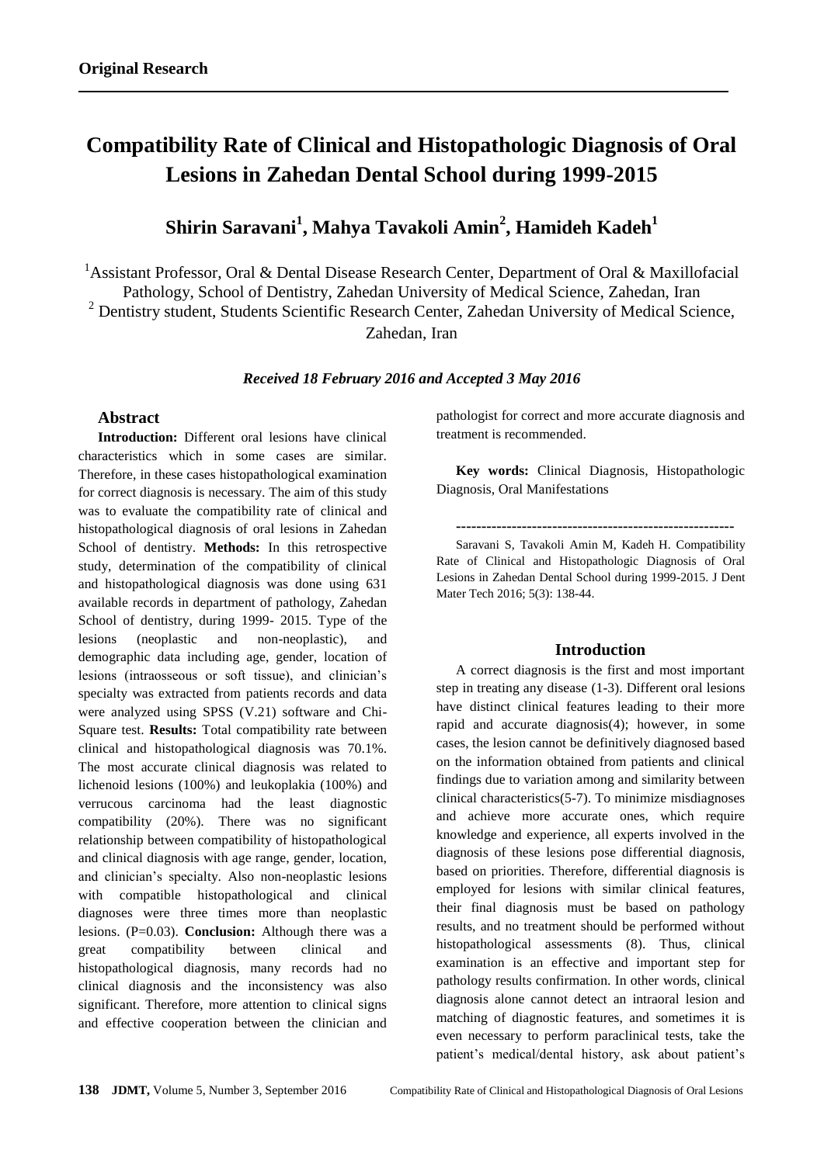# **Compatibility Rate of Clinical and Histopathologic Diagnosis of Oral Lesions in Zahedan Dental School during 1999-2015**

## **Shirin Saravani<sup>1</sup> , Mahya Tavakoli Amin<sup>2</sup> , Hamideh Kadeh<sup>1</sup>**

<sup>1</sup> Assistant Professor, Oral & Dental Disease Research Center, Department of Oral & Maxillofacial Pathology, School of Dentistry, Zahedan University of Medical Science, Zahedan, Iran <sup>2</sup> Dentistry student, Students Scientific Research Center, Zahedan University of Medical Science, Zahedan, Iran

#### *Received 18 February 2016 and Accepted 3 May 2016*

## **Abstract**

**Introduction:** Different oral lesions have clinical characteristics which in some cases are similar. Therefore, in these cases histopathological examination for correct diagnosis is necessary. The aim of this study was to evaluate the compatibility rate of clinical and histopathological diagnosis of oral lesions in Zahedan School of dentistry. **Methods:** In this retrospective study, determination of the compatibility of clinical and histopathological diagnosis was done using 631 available records in department of pathology, Zahedan School of dentistry, during 1999- 2015. Type of the lesions (neoplastic and non-neoplastic), and demographic data including age, gender, location of lesions (intraosseous or soft tissue), and clinician's specialty was extracted from patients records and data were analyzed using SPSS (V.21) software and Chi-Square test. **Results:** Total compatibility rate between clinical and histopathological diagnosis was 70.1%. The most accurate clinical diagnosis was related to lichenoid lesions (100%) and leukoplakia (100%) and verrucous carcinoma had the least diagnostic compatibility (20%). There was no significant relationship between compatibility of histopathological and clinical diagnosis with age range, gender, location, and clinician's specialty. Also non-neoplastic lesions with compatible histopathological and clinical diagnoses were three times more than neoplastic lesions. (P=0.03). **Conclusion:** Although there was a great compatibility between clinical and histopathological diagnosis, many records had no clinical diagnosis and the inconsistency was also significant. Therefore, more attention to clinical signs and effective cooperation between the clinician and

pathologist for correct and more accurate diagnosis and treatment is recommended.

**Key words:** Clinical Diagnosis, Histopathologic Diagnosis, Oral Manifestations

**-------------------------------------------------------**

Saravani S, Tavakoli Amin M, Kadeh H. Compatibility Rate of Clinical and Histopathologic Diagnosis of Oral Lesions in Zahedan Dental School during 1999-2015. J Dent Mater Tech 2016; 5(3): 138-44.

#### **Introduction**

A correct diagnosis is the first and most important step in treating any disease (1-3). Different oral lesions have distinct clinical features leading to their more rapid and accurate diagnosis(4); however, in some cases, the lesion cannot be definitively diagnosed based on the information obtained from patients and clinical findings due to variation among and similarity between clinical characteristics(5-7). To minimize misdiagnoses and achieve more accurate ones, which require knowledge and experience, all experts involved in the diagnosis of these lesions pose differential diagnosis, based on priorities. Therefore, differential diagnosis is employed for lesions with similar clinical features, their final diagnosis must be based on pathology results, and no treatment should be performed without histopathological assessments (8). Thus, clinical examination is an effective and important step for pathology results confirmation. In other words, clinical diagnosis alone cannot detect an intraoral lesion and matching of diagnostic features, and sometimes it is even necessary to perform paraclinical tests, take the patient's medical/dental history, ask about patient's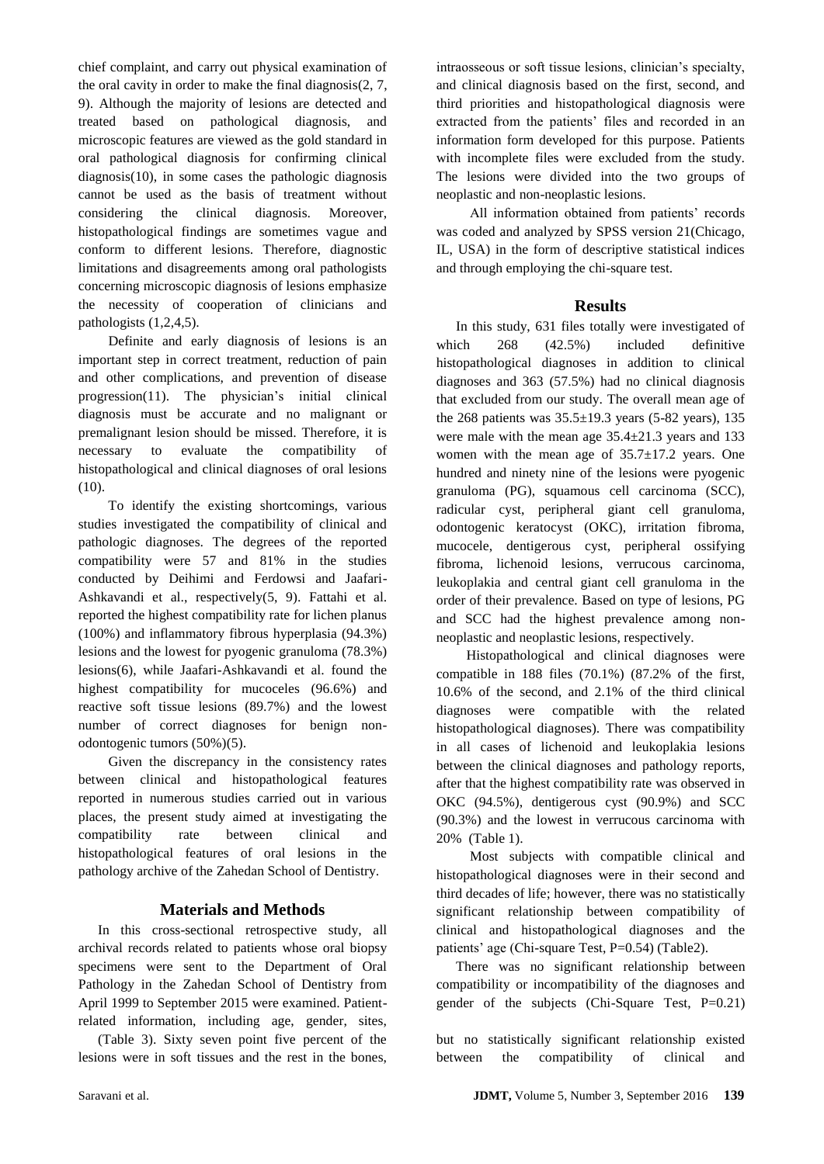chief complaint, and carry out physical examination of the oral cavity in order to make the final diagnosis(2, 7, 9). Although the majority of lesions are detected and treated based on pathological diagnosis, and microscopic features are viewed as the gold standard in oral pathological diagnosis for confirming clinical diagnosis(10), in some cases the pathologic diagnosis cannot be used as the basis of treatment without considering the clinical diagnosis. Moreover, histopathological findings are sometimes vague and conform to different lesions. Therefore, diagnostic limitations and disagreements among oral pathologists concerning microscopic diagnosis of lesions emphasize the necessity of cooperation of clinicians and pathologists (1,2,4,5).

 Definite and early diagnosis of lesions is an important step in correct treatment, reduction of pain and other complications, and prevention of disease progression(11). The physician's initial clinical diagnosis must be accurate and no malignant or premalignant lesion should be missed. Therefore, it is necessary to evaluate the compatibility of histopathological and clinical diagnoses of oral lesions (10).

 To identify the existing shortcomings, various studies investigated the compatibility of clinical and pathologic diagnoses. The degrees of the reported compatibility were 57 and 81% in the studies conducted by Deihimi and Ferdowsi and Jaafari-Ashkavandi et al., respectively(5, 9). Fattahi et al. reported the highest compatibility rate for lichen planus (100%) and inflammatory fibrous hyperplasia (94.3%) lesions and the lowest for pyogenic granuloma (78.3%) lesions(6), while Jaafari-Ashkavandi et al. found the highest compatibility for mucoceles (96.6%) and reactive soft tissue lesions (89.7%) and the lowest number of correct diagnoses for benign nonodontogenic tumors (50%)(5).

 Given the discrepancy in the consistency rates between clinical and histopathological features reported in numerous studies carried out in various places, the present study aimed at investigating the compatibility rate between clinical and histopathological features of oral lesions in the pathology archive of the Zahedan School of Dentistry.

## **Materials and Methods**

In this cross-sectional retrospective study, all archival records related to patients whose oral biopsy specimens were sent to the Department of Oral Pathology in the Zahedan School of Dentistry from April 1999 to September 2015 were examined. Patientrelated information, including age, gender, sites,

(Table 3). Sixty seven point five percent of the lesions were in soft tissues and the rest in the bones,

intraosseous or soft tissue lesions, clinician's specialty, and clinical diagnosis based on the first, second, and third priorities and histopathological diagnosis were extracted from the patients' files and recorded in an information form developed for this purpose. Patients with incomplete files were excluded from the study. The lesions were divided into the two groups of neoplastic and non-neoplastic lesions.

 All information obtained from patients' records was coded and analyzed by SPSS version 21(Chicago, IL, USA) in the form of descriptive statistical indices and through employing the chi-square test.

## **Results**

In this study, 631 files totally were investigated of which 268 (42.5%) included definitive histopathological diagnoses in addition to clinical diagnoses and 363 (57.5%) had no clinical diagnosis that excluded from our study. The overall mean age of the 268 patients was  $35.5 \pm 19.3$  years (5-82 years), 135 were male with the mean age 35.4±21.3 years and 133 women with the mean age of  $35.7 \pm 17.2$  years. One hundred and ninety nine of the lesions were pyogenic granuloma (PG), squamous cell carcinoma (SCC), radicular cyst, peripheral giant cell granuloma, odontogenic keratocyst (OKC), irritation fibroma, mucocele, dentigerous cyst, peripheral ossifying fibroma, lichenoid lesions, verrucous carcinoma, leukoplakia and central giant cell granuloma in the order of their prevalence. Based on type of lesions, PG and SCC had the highest prevalence among nonneoplastic and neoplastic lesions, respectively.

 Histopathological and clinical diagnoses were compatible in 188 files (70.1%) (87.2% of the first, 10.6% of the second, and 2.1% of the third clinical diagnoses were compatible with the related histopathological diagnoses). There was compatibility in all cases of lichenoid and leukoplakia lesions between the clinical diagnoses and pathology reports, after that the highest compatibility rate was observed in OKC (94.5%), dentigerous cyst (90.9%) and SCC (90.3%) and the lowest in verrucous carcinoma with 20% (Table 1).

 Most subjects with compatible clinical and histopathological diagnoses were in their second and third decades of life; however, there was no statistically significant relationship between compatibility of clinical and histopathological diagnoses and the patients' age (Chi-square Test, P=0.54) (Table2).

There was no significant relationship between compatibility or incompatibility of the diagnoses and gender of the subjects (Chi-Square Test, P=0.21)

but no statistically significant relationship existed between the compatibility of clinical and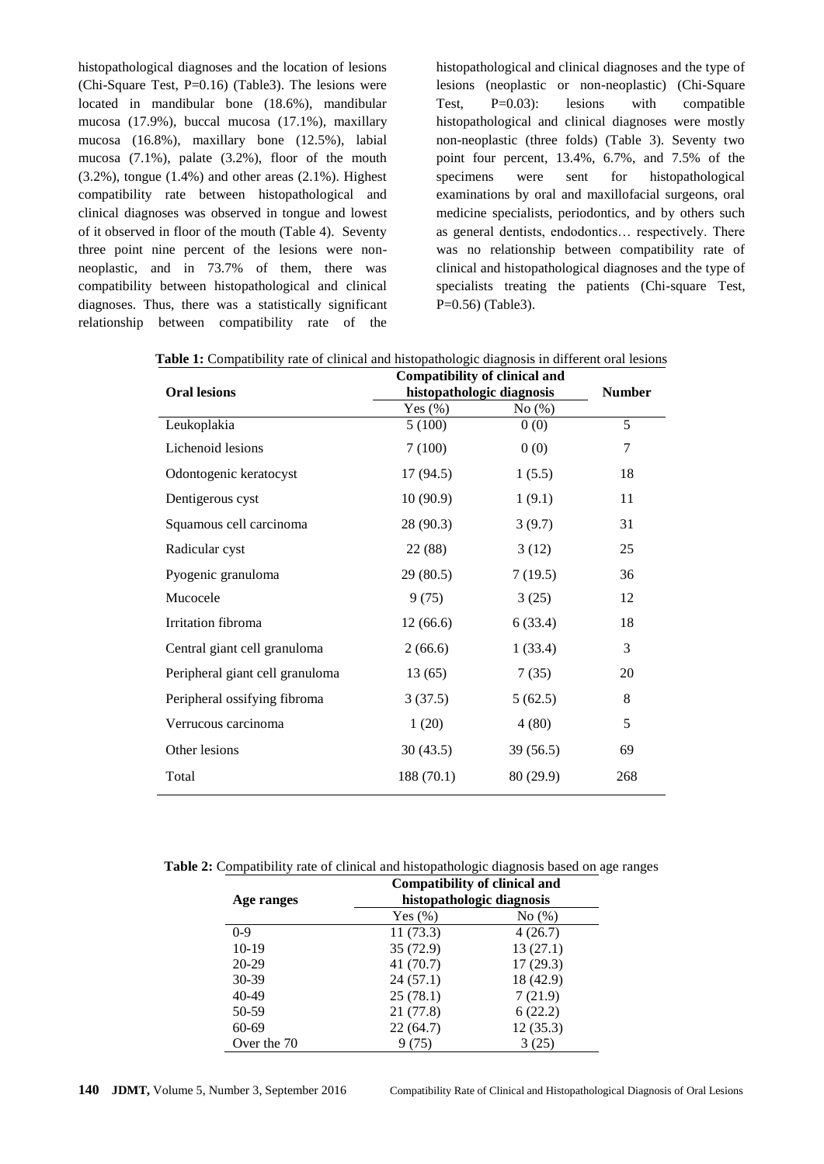histopathological diagnoses and the location of lesions (Chi-Square Test, P=0.16) (Table3). The lesions were located in mandibular bone (18.6%), mandibular mucosa (17.9%), buccal mucosa (17.1%), maxillary mucosa (16.8%), maxillary bone (12.5%), labial mucosa (7.1%), palate (3.2%), floor of the mouth  $(3.2\%)$ , tongue  $(1.4\%)$  and other areas  $(2.1\%)$ . Highest compatibility rate between histopathological and clinical diagnoses was observed in tongue and lowest of it observed in floor of the mouth (Table 4). Seventy three point nine percent of the lesions were nonneoplastic, and in 73.7% of them, there was compatibility between histopathological and clinical diagnoses. Thus, there was a statistically significant relationship between compatibility rate of the

histopathological and clinical diagnoses and the type of lesions (neoplastic or non-neoplastic) (Chi-Square Test, P=0.03): lesions with compatible histopathological and clinical diagnoses were mostly non-neoplastic (three folds) (Table 3). Seventy two point four percent, 13.4%, 6.7%, and 7.5% of the specimens were sent for histopathological examinations by oral and maxillofacial surgeons, oral medicine specialists, periodontics, and by others such as general dentists, endodontics… respectively. There was no relationship between compatibility rate of clinical and histopathological diagnoses and the type of specialists treating the patients (Chi-square Test, P=0.56) (Table3).

|                                 | <b>Compatibility of clinical and</b> | <b>Number</b> |     |
|---------------------------------|--------------------------------------|---------------|-----|
| <b>Oral lesions</b>             | histopathologic diagnosis            |               |     |
|                                 | Yes $(\% )$                          | No $(\%)$     |     |
| Leukoplakia                     | 5(100)                               | 0(0)          | 5   |
| Lichenoid lesions               | 7(100)                               | 0(0)          | 7   |
| Odontogenic keratocyst          | 17(94.5)                             | 1(5.5)        | 18  |
| Dentigerous cyst                | 10(90.9)                             | 1(9.1)        | 11  |
| Squamous cell carcinoma         | 28 (90.3)                            | 3(9.7)        | 31  |
| Radicular cyst                  | 22 (88)                              | 3(12)         | 25  |
| Pyogenic granuloma              | 29(80.5)                             | 7(19.5)       | 36  |
| Mucocele                        | 9(75)                                | 3(25)         | 12  |
| Irritation fibroma              | 12(66.6)                             | 6(33.4)       | 18  |
| Central giant cell granuloma    | 2(66.6)                              | 1(33.4)       | 3   |
| Peripheral giant cell granuloma | 13(65)                               | 7(35)         | 20  |
| Peripheral ossifying fibroma    | 3(37.5)                              | 5(62.5)       | 8   |
| Verrucous carcinoma             | 1(20)                                | 4(80)         | 5   |
| Other lesions                   | 30(43.5)                             | 39(56.5)      | 69  |
| Total                           | 188 (70.1)                           | 80 (29.9)     | 268 |

**Table 1:** Compatibility rate of clinical and histopathologic diagnosis in different oral lesions

**Table 2:** Compatibility rate of clinical and histopathologic diagnosis based on age ranges

|             | Compatibility of clinical and |           |  |
|-------------|-------------------------------|-----------|--|
| Age ranges  | histopathologic diagnosis     |           |  |
|             | Yes $(\%)$                    | No(%)     |  |
| $0-9$       | 11(73.3)                      | 4(26.7)   |  |
| $10-19$     | 35(72.9)                      | 13(27.1)  |  |
| $20-29$     | 41(70.7)                      | 17(29.3)  |  |
| $30-39$     | 24(57.1)                      | 18 (42.9) |  |
| $40 - 49$   | 25(78.1)                      | 7(21.9)   |  |
| 50-59       | 21(77.8)                      | 6(22.2)   |  |
| 60-69       | 22(64.7)                      | 12(35.3)  |  |
| Over the 70 |                               | 3(25)     |  |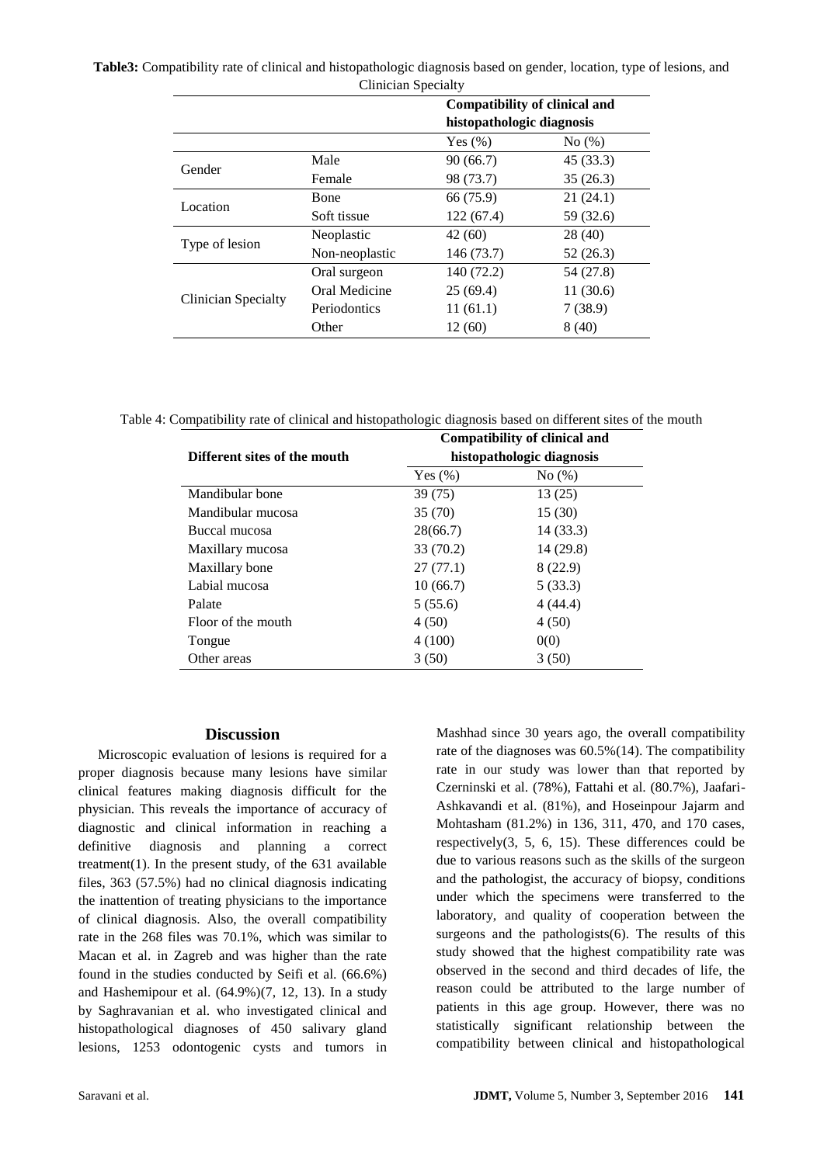## **Table3:** Compatibility rate of clinical and histopathologic diagnosis based on gender, location, type of lesions, and Clinician Specialty

|                     |                | <b>Compatibility of clinical and</b><br>histopathologic diagnosis |           |
|---------------------|----------------|-------------------------------------------------------------------|-----------|
|                     |                |                                                                   |           |
|                     |                | Yes $(\% )$                                                       | No(%)     |
| Gender              | Male           | 90 (66.7)                                                         | 45 (33.3) |
|                     | Female         | 98 (73.7)                                                         | 35(26.3)  |
| Location            | <b>B</b> one   | 66 (75.9)                                                         | 21(24.1)  |
|                     | Soft tissue    | 122 (67.4)                                                        | 59 (32.6) |
| Type of lesion      | Neoplastic     | 42(60)                                                            | 28 (40)   |
|                     | Non-neoplastic | 146 (73.7)                                                        | 52(26.3)  |
| Clinician Specialty | Oral surgeon   | 140 (72.2)                                                        | 54 (27.8) |
|                     | Oral Medicine  | 25(69.4)                                                          | 11(30.6)  |
|                     | Periodontics   | 11(61.1)                                                          | 7(38.9)   |
|                     | Other          | 12 (60)                                                           | 8(40)     |

Table 4: Compatibility rate of clinical and histopathologic diagnosis based on different sites of the mouth

|                              | <b>Compatibility of clinical and</b> |           |  |
|------------------------------|--------------------------------------|-----------|--|
| Different sites of the mouth | histopathologic diagnosis            |           |  |
|                              | Yes $(\% )$                          | No(%)     |  |
| Mandibular bone              | 39(75)                               | 13(25)    |  |
| Mandibular mucosa            | 35(70)                               | 15(30)    |  |
| Buccal mucosa                | 28(66.7)                             | 14 (33.3) |  |
| Maxillary mucosa             | 33 (70.2)                            | 14(29.8)  |  |
| Maxillary bone               | 27(77.1)                             | 8 (22.9)  |  |
| Labial mucosa                | 10(66.7)                             | 5(33.3)   |  |
| Palate                       | 5(55.6)                              | 4(44.4)   |  |
| Floor of the mouth           | 4(50)                                | 4(50)     |  |
| Tongue                       | 4(100)                               | 0(0)      |  |
| Other areas                  | 3(50)                                | 3(50)     |  |

#### **Discussion**

Microscopic evaluation of lesions is required for a proper diagnosis because many lesions have similar clinical features making diagnosis difficult for the physician. This reveals the importance of accuracy of diagnostic and clinical information in reaching a definitive diagnosis and planning a correct treatment(1). In the present study, of the  $631$  available files, 363 (57.5%) had no clinical diagnosis indicating the inattention of treating physicians to the importance of clinical diagnosis. Also, the overall compatibility rate in the 268 files was 70.1%, which was similar to Macan et al. in Zagreb and was higher than the rate found in the studies conducted by Seifi et al. (66.6%) and Hashemipour et al. (64.9%)(7, 12, 13). In a study by Saghravanian et al. who investigated clinical and histopathological diagnoses of 450 salivary gland lesions, 1253 odontogenic cysts and tumors in

Mashhad since 30 years ago, the overall compatibility rate of the diagnoses was 60.5%(14). The compatibility rate in our study was lower than that reported by Czerninski et al. (78%), Fattahi et al. (80.7%), Jaafari-Ashkavandi et al. (81%), and Hoseinpour Jajarm and Mohtasham (81.2%) in 136, 311, 470, and 170 cases, respectively(3, 5, 6, 15). These differences could be due to various reasons such as the skills of the surgeon and the pathologist, the accuracy of biopsy, conditions under which the specimens were transferred to the laboratory, and quality of cooperation between the surgeons and the pathologists $(6)$ . The results of this study showed that the highest compatibility rate was observed in the second and third decades of life, the reason could be attributed to the large number of patients in this age group. However, there was no statistically significant relationship between the compatibility between clinical and histopathological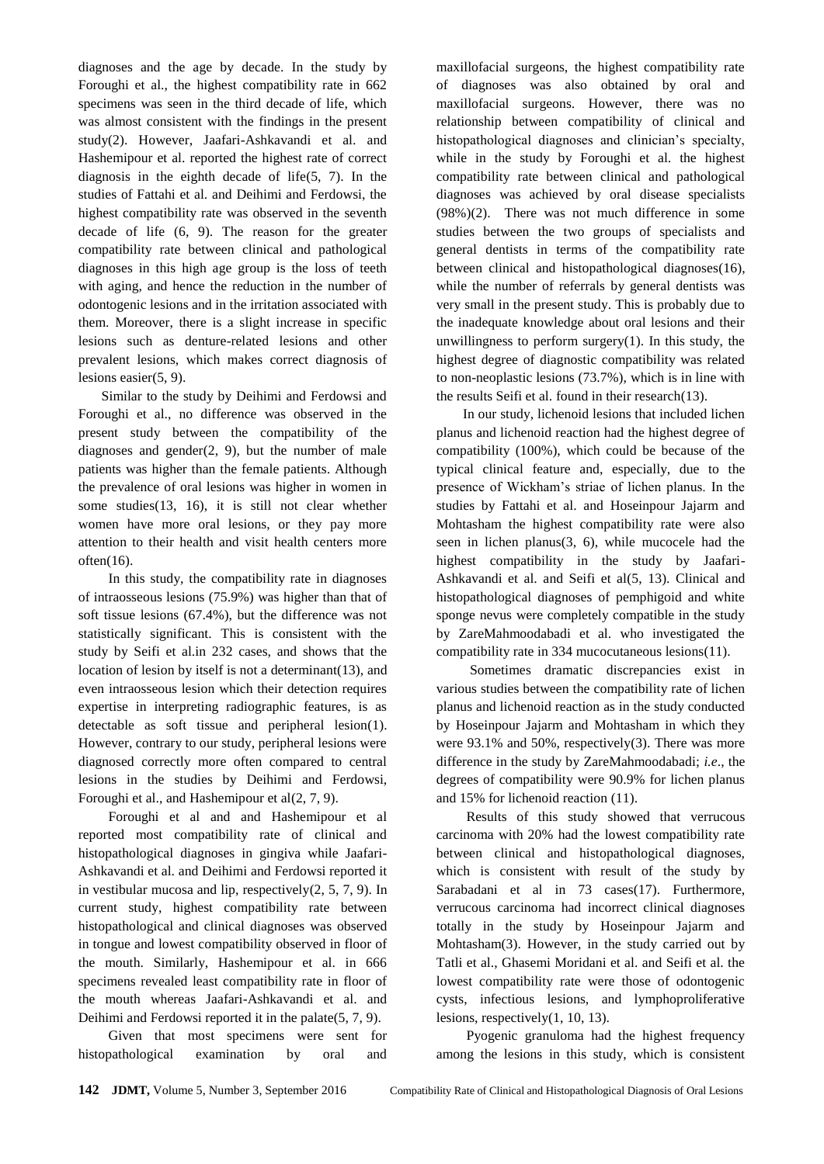diagnoses and the age by decade. In the study by Foroughi et al., the highest compatibility rate in 662 specimens was seen in the third decade of life, which was almost consistent with the findings in the present study(2). However, Jaafari-Ashkavandi et al. and Hashemipour et al. reported the highest rate of correct diagnosis in the eighth decade of life(5, 7). In the studies of Fattahi et al. and Deihimi and Ferdowsi, the highest compatibility rate was observed in the seventh decade of life (6, 9). The reason for the greater compatibility rate between clinical and pathological diagnoses in this high age group is the loss of teeth with aging, and hence the reduction in the number of odontogenic lesions and in the irritation associated with them. Moreover, there is a slight increase in specific lesions such as denture-related lesions and other prevalent lesions, which makes correct diagnosis of lesions easier(5, 9).

Similar to the study by Deihimi and Ferdowsi and Foroughi et al., no difference was observed in the present study between the compatibility of the diagnoses and gender $(2, 9)$ , but the number of male patients was higher than the female patients. Although the prevalence of oral lesions was higher in women in some studies(13, 16), it is still not clear whether women have more oral lesions, or they pay more attention to their health and visit health centers more often(16).

 In this study, the compatibility rate in diagnoses of intraosseous lesions (75.9%) was higher than that of soft tissue lesions (67.4%), but the difference was not statistically significant. This is consistent with the study by Seifi et al.in 232 cases, and shows that the location of lesion by itself is not a determinant(13), and even intraosseous lesion which their detection requires expertise in interpreting radiographic features, is as detectable as soft tissue and peripheral lesion(1). However, contrary to our study, peripheral lesions were diagnosed correctly more often compared to central lesions in the studies by Deihimi and Ferdowsi, Foroughi et al., and Hashemipour et al(2, 7, 9).

 Foroughi et al and and Hashemipour et al reported most compatibility rate of clinical and histopathological diagnoses in gingiva while Jaafari-Ashkavandi et al. and Deihimi and Ferdowsi reported it in vestibular mucosa and lip, respectively(2, 5, 7, 9). In current study, highest compatibility rate between histopathological and clinical diagnoses was observed in tongue and lowest compatibility observed in floor of the mouth. Similarly, Hashemipour et al. in 666 specimens revealed least compatibility rate in floor of the mouth whereas Jaafari-Ashkavandi et al. and Deihimi and Ferdowsi reported it in the palate(5, 7, 9).

 Given that most specimens were sent for histopathological examination by oral and

maxillofacial surgeons, the highest compatibility rate of diagnoses was also obtained by oral and maxillofacial surgeons. However, there was no relationship between compatibility of clinical and histopathological diagnoses and clinician's specialty, while in the study by Foroughi et al. the highest compatibility rate between clinical and pathological diagnoses was achieved by oral disease specialists (98%)(2). There was not much difference in some studies between the two groups of specialists and general dentists in terms of the compatibility rate between clinical and histopathological diagnoses(16), while the number of referrals by general dentists was very small in the present study. This is probably due to the inadequate knowledge about oral lesions and their unwillingness to perform surgery $(1)$ . In this study, the highest degree of diagnostic compatibility was related to non-neoplastic lesions (73.7%), which is in line with the results Seifi et al. found in their research(13).

In our study, lichenoid lesions that included lichen planus and lichenoid reaction had the highest degree of compatibility (100%), which could be because of the typical clinical feature and, especially, due to the presence of Wickham's striae of lichen planus. In the studies by Fattahi et al. and Hoseinpour Jajarm and Mohtasham the highest compatibility rate were also seen in lichen planus(3, 6), while mucocele had the highest compatibility in the study by Jaafari-Ashkavandi et al. and Seifi et al(5, 13). Clinical and histopathological diagnoses of pemphigoid and white sponge nevus were completely compatible in the study by ZareMahmoodabadi et al. who investigated the compatibility rate in 334 mucocutaneous lesions(11).

 Sometimes dramatic discrepancies exist in various studies between the compatibility rate of lichen planus and lichenoid reaction as in the study conducted by Hoseinpour Jajarm and Mohtasham in which they were  $93.1\%$  and  $50\%$ , respectively(3). There was more difference in the study by ZareMahmoodabadi; *i.e*., the degrees of compatibility were 90.9% for lichen planus and 15% for lichenoid reaction (11).

 Results of this study showed that verrucous carcinoma with 20% had the lowest compatibility rate between clinical and histopathological diagnoses, which is consistent with result of the study by Sarabadani et al in 73 cases(17). Furthermore, verrucous carcinoma had incorrect clinical diagnoses totally in the study by Hoseinpour Jajarm and Mohtasham(3). However, in the study carried out by Tatli et al., Ghasemi Moridani et al. and Seifi et al. the lowest compatibility rate were those of odontogenic cysts, infectious lesions, and lymphoproliferative lesions, respectively(1, 10, 13).

 Pyogenic granuloma had the highest frequency among the lesions in this study, which is consistent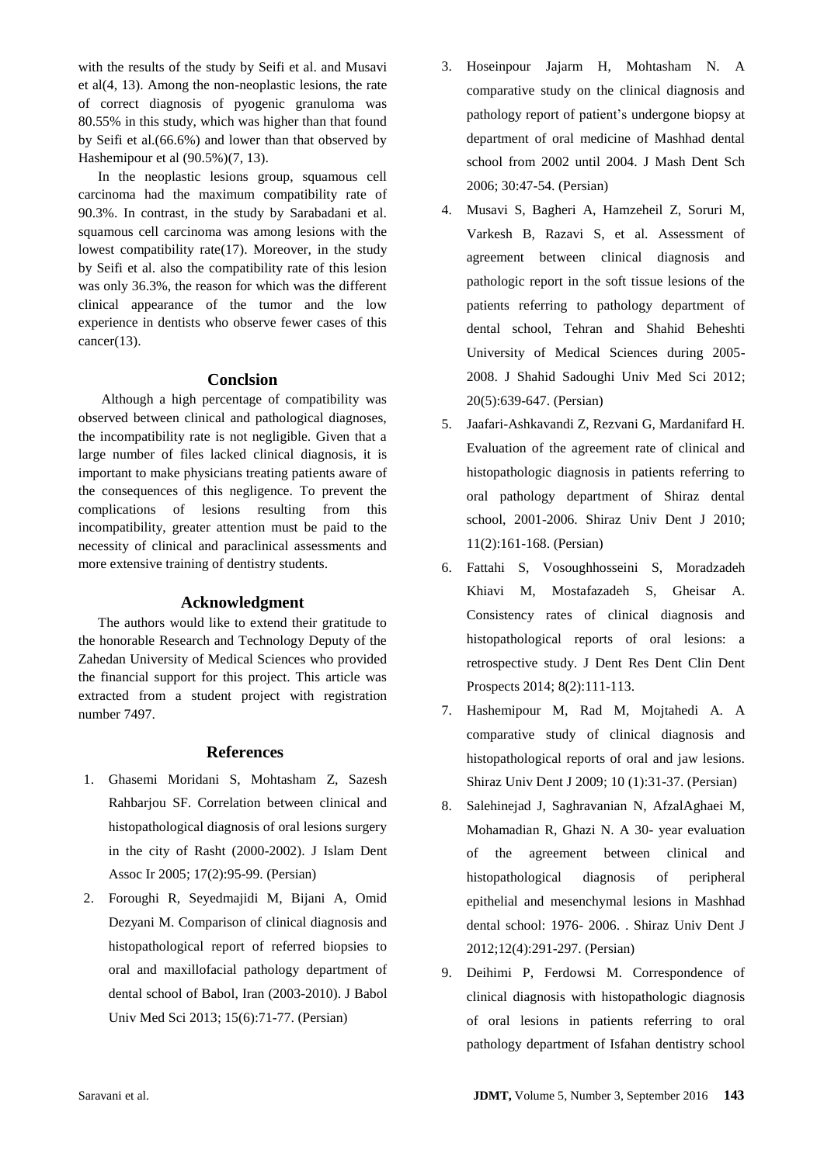with the results of the study by Seifi et al. and Musavi et al(4, 13). Among the non-neoplastic lesions, the rate of correct diagnosis of pyogenic granuloma was 80.55% in this study, which was higher than that found by Seifi et al.(66.6%) and lower than that observed by Hashemipour et al (90.5%)(7, 13).

In the neoplastic lesions group, squamous cell carcinoma had the maximum compatibility rate of 90.3%. In contrast, in the study by Sarabadani et al. squamous cell carcinoma was among lesions with the lowest compatibility rate(17). Moreover, in the study by Seifi et al. also the compatibility rate of this lesion was only 36.3%, the reason for which was the different clinical appearance of the tumor and the low experience in dentists who observe fewer cases of this cancer(13).

## **Conclsion**

Although a high percentage of compatibility was observed between clinical and pathological diagnoses, the incompatibility rate is not negligible. Given that a large number of files lacked clinical diagnosis, it is important to make physicians treating patients aware of the consequences of this negligence. To prevent the complications of lesions resulting from this incompatibility, greater attention must be paid to the necessity of clinical and paraclinical assessments and more extensive training of dentistry students.

## **Acknowledgment**

The authors would like to extend their gratitude to the honorable Research and Technology Deputy of the Zahedan University of Medical Sciences who provided the financial support for this project. This article was extracted from a student project with registration number 7497.

#### **References**

- 1. Ghasemi Moridani S, Mohtasham Z, Sazesh Rahbarjou SF. Correlation between clinical and histopathological diagnosis of oral lesions surgery in the city of Rasht (2000-2002). J Islam Dent Assoc Ir 2005; 17(2):95-99. (Persian)
- 2. Foroughi R, Seyedmajidi M, Bijani A, Omid Dezyani M. Comparison of clinical diagnosis and histopathological report of referred biopsies to oral and maxillofacial pathology department of dental school of Babol, Iran (2003-2010). J Babol Univ Med Sci 2013; 15(6):71-77. (Persian)
- 3. Hoseinpour Jajarm H, Mohtasham N. A comparative study on the clinical diagnosis and pathology report of patient's undergone biopsy at department of oral medicine of Mashhad dental school from 2002 until 2004. J Mash Dent Sch 2006; 30:47-54. (Persian)
- 4. Musavi S, Bagheri A, Hamzeheil Z, Soruri M, Varkesh B, Razavi S, et al. Assessment of agreement between clinical diagnosis and pathologic report in the soft tissue lesions of the patients referring to pathology department of dental school, Tehran and Shahid Beheshti University of Medical Sciences during 2005- 2008. J Shahid Sadoughi Univ Med Sci 2012; 20(5):639-647. (Persian)
- 5. Jaafari-Ashkavandi Z, Rezvani G, Mardanifard H. Evaluation of the agreement rate of clinical and histopathologic diagnosis in patients referring to oral pathology department of Shiraz dental school, 2001-2006. Shiraz Univ Dent J 2010; 11(2):161-168. (Persian)
- 6. Fattahi S, Vosoughhosseini S, Moradzadeh Khiavi M, Mostafazadeh S, Gheisar A. Consistency rates of clinical diagnosis and histopathological reports of oral lesions: a retrospective study. J Dent Res Dent Clin Dent Prospects 2014; 8(2):111-113.
- 7. Hashemipour M, Rad M, Mojtahedi A. A comparative study of clinical diagnosis and histopathological reports of oral and jaw lesions. Shiraz Univ Dent J 2009; 10 (1):31-37. (Persian)
- 8. Salehinejad J, Saghravanian N, AfzalAghaei M, Mohamadian R, Ghazi N. A 30- year evaluation of the agreement between clinical and histopathological diagnosis of peripheral epithelial and mesenchymal lesions in Mashhad dental school: 1976- 2006. . Shiraz Univ Dent J 2012;12(4):291-297. (Persian)
- 9. Deihimi P, Ferdowsi M. Correspondence of clinical diagnosis with histopathologic diagnosis of oral lesions in patients referring to oral pathology department of Isfahan dentistry school